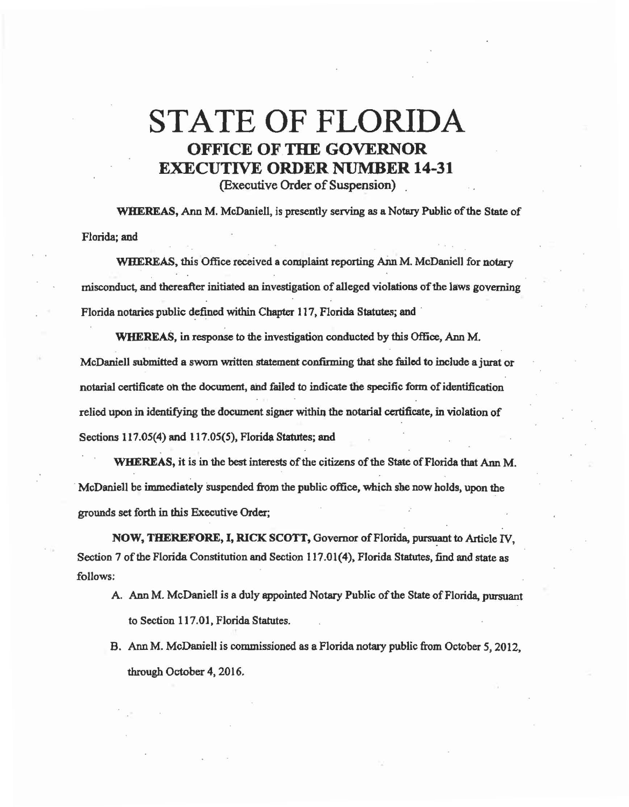## STATE OF FLORIDA OFFICE OF THE GOVERNOR EXECUTIVE ORDER NUMBER 14-31

(Executive Order of Suspension) .

WHEREAS, Ann M. McDaniell, is presently serving as a Notary Public of the State of Florida; and

WHEREAS, this Office received a complaint reporting Ann M. McDaniell for notary misconduct, and thereafter initiated an investigation of alleged violations of the laws governing Florida notaries public defined within Chapter 117, Florida Statutes; and

WHEREAS, in response to the investigation conducted by this Office, Ann M. McDaniell submitted a sworn written statement confirming that she failed to include a jurat or notarial certificate on the document, and failed to indicate the specific form of identification relied upon in identifying the document signer within the notarial certificate, in violation of Sections 117.05(4) and 117.05(5), Florida Statutes; and

WHEREAS, it is in the best interests of the citizens of the State of Florida that Ann M. · McDaniell be immediately suspended from the public office, which she now holds, upon the grounds set forth in this Executive Order;

NOW, THEREFORE, I, RICK SCOTT, Governor of Florida, pursuant to Article IV, Section 7 of the Florida Constitution and Section 117.01(4), Florida Statutes, find and state as follows:

- A. Ann M. McDanielt is a duly appointed Notary Public of the State of Florida, pursuant to Section 117.01, Florida Statutes.
- B. Ann M. McDaniell is commissioned as a Florida notary public from October *5,* 2012, through October 4, 2016.